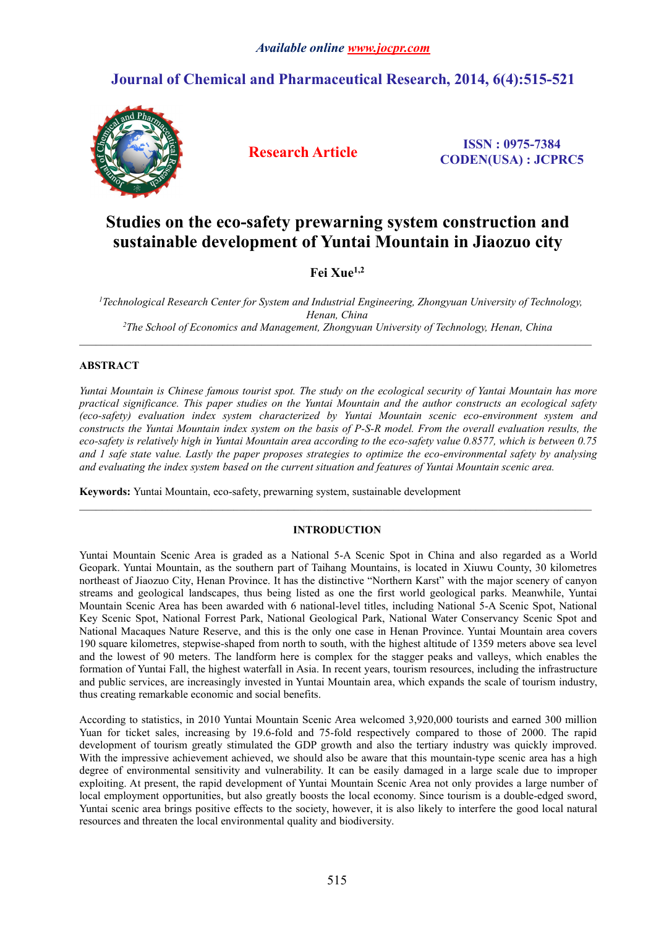# **Journal of Chemical and Pharmaceutical Research, 2014, 6(4):515-521**



**Research Article ISSN : 0975-7384 CODEN(USA) : JCPRC5**

# **Studies on the eco-safety prewarning system construction and sustainable development of Yuntai Mountain in Jiaozuo city**

**Fei Xue1,2**

*<sup>1</sup>Technological Research Center for System and IndustrialEngineering, Zhongyuan University of Technology, Henan, China <sup>2</sup>The School of Economics and Management, Zhongyuan University of Technology, Henan, China*

 $\_$  ,  $\_$  ,  $\_$  ,  $\_$  ,  $\_$  ,  $\_$  ,  $\_$  ,  $\_$  ,  $\_$  ,  $\_$  ,  $\_$  ,  $\_$  ,  $\_$  ,  $\_$  ,  $\_$  ,  $\_$  ,  $\_$  ,  $\_$  ,  $\_$  ,  $\_$  ,  $\_$  ,  $\_$  ,  $\_$  ,  $\_$  ,  $\_$  ,  $\_$  ,  $\_$  ,  $\_$  ,  $\_$  ,  $\_$  ,  $\_$  ,  $\_$  ,  $\_$  ,  $\_$  ,  $\_$  ,  $\_$  ,  $\_$  ,

# **ABSTRACT**

Yuntai Mountain is Chinese famous tourist spot. The study on the ecological security of Yantai Mountain has more *practical significance. This paper studies on the Yuntai Mountain and the author constructs an ecological safety (eco-safety) evaluation index system characterized by YuntaiMountain scenic eco-environment system and* constructs the Yuntai Mountain index system on the basis of P-S-R model. From the overall evaluation results, the eco-safety is relatively high in Yuntai Mountain area according to the eco-safety value 0.8577, which is between 0.75 and 1 safe state value. Lastly the paper proposes strategies to optimize the eco-environmental safety by analysing *and evaluating the index system based on the currentsituation and features of Yuntai Mountain scenic area.*

**Keywords:** Yuntai Mountain, eco-safety, prewarning system, sustainable development

# **INTRODUCTION**

Yuntai Mountain Scenic Area is graded as a National 5-A Scenic Spot in China and also regarded as a World Geopark. Yuntai Mountain, as the southern part of Taihang Mountains, is located in Xiuwu County, 30 kilometres northeast of Jiaozuo City, Henan Province. It has the distinctive "Northern Karst" with the major scenery of canyon streams and geological landscapes, thus being listed as one the first world geological parks. Meanwhile, Yuntai Mountain Scenic Area has been awarded with 6 national-level titles, including National 5-A Scenic Spot, National Key Scenic Spot, National Forrest Park, National Geological Park, National Water Conservancy Scenic Spot and National Macaques Nature Reserve, and this is the only one case in Henan Province. Yuntai Mountain area covers 190 square kilometres, stepwise-shaped from north to south, with the highestaltitude of 1359 meters above sea level and the lowest of 90 meters. The landform here is complex for the stagger peaks and valleys, which enables the formation of Yuntai Fall, the highestwaterfall in Asia. In recent years, tourism resources, including the infrastructure and public services, are increasingly invested in Yuntai Mountain area, which expands the scale of tourism industry, thus creating remarkable economic and social benefits.

According to statistics, in 2010 Yuntai Mountain Scenic Area welcomed 3,920,000 tourists and earned 300 million Yuan for ticket sales, increasing by 19.6-fold and 75-fold respectively compared to those of 2000. The rapid development of tourism greatly stimulated the GDP growth and also the tertiary industry was quickly improved. With the impressive achievement achieved, we should also be aware that this mountain-type scenic area has a high degree of environmental sensitivity and vulnerability. It can be easily damaged in a large scale due to improper exploiting. At present, the rapid development of Yuntai Mountain Scenic Area not only provides a large number of local employment opportunities, but also greatly boosts the local economy. Since tourism is a double-edged sword, Yuntai scenic area brings positive effects to the society, however, it is also likely to interfere the good local natural resources and threaten the local environmental quality and biodiversity.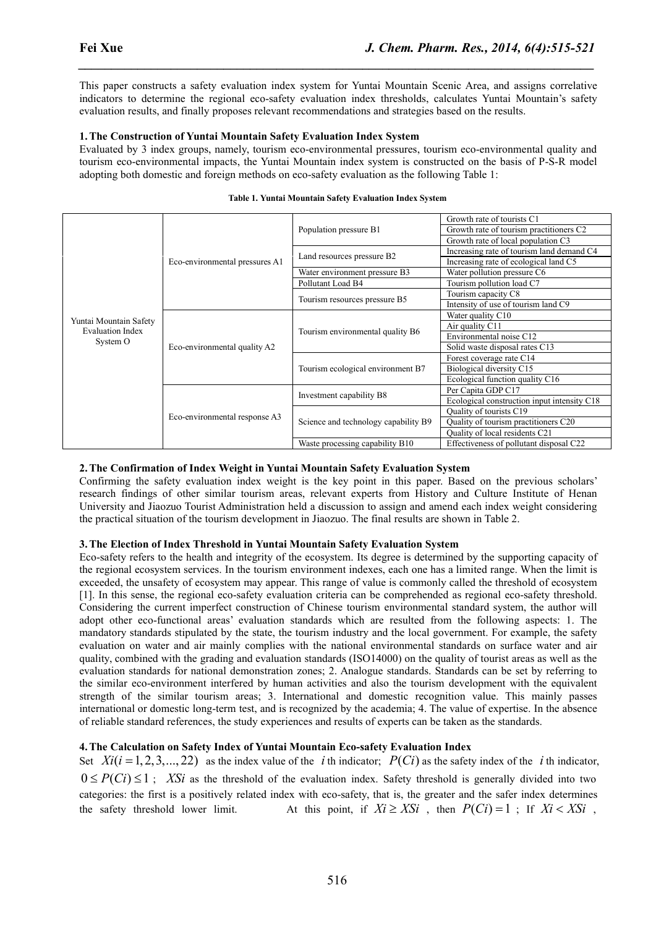This paper constructs a safety evaluation index system for Yuntai Mountain Scenic Area, and assigns correlative indicators to determine the regional eco-safety evaluation index thresholds, calculates Yuntai Mountain's safety evaluation results, and finally proposes relevant recommendations and strategies based on the results.

*\_\_\_\_\_\_\_\_\_\_\_\_\_\_\_\_\_\_\_\_\_\_\_\_\_\_\_\_\_\_\_\_\_\_\_\_\_\_\_\_\_\_\_\_\_\_\_\_\_\_\_\_\_\_\_\_\_\_\_\_\_\_\_\_\_\_\_\_\_\_\_\_\_\_\_\_\_\_*

# **1.The Construction of Yuntai Mountain Safety Evaluation Index System**

Evaluated by 3 index groups, namely, tourism eco-environmental pressures, tourism eco-environmental quality and tourism eco-environmental impacts, the Yuntai Mountain index system is constructed on the basis of P-S-R model adopting both domestic and foreign methods on eco-safety evaluation as the following Table 1:

|                                                   | Eco-environmental pressures A1 | Population pressure B1<br>Land resources pressure B2<br>Water environment pressure B3<br>Pollutant Load B4 | Growth rate of tourists C1<br>Growth rate of tourism practitioners C2<br>Growth rate of local population C3<br>Increasing rate of tourism land demand C4<br>Increasing rate of ecological land C5<br>Water pollution pressure C6<br>Tourism pollution load C7 |
|---------------------------------------------------|--------------------------------|------------------------------------------------------------------------------------------------------------|---------------------------------------------------------------------------------------------------------------------------------------------------------------------------------------------------------------------------------------------------------------|
|                                                   |                                | Tourism resources pressure B5                                                                              | Tourism capacity C8<br>Intensity of use of tourism land C9                                                                                                                                                                                                    |
|                                                   |                                |                                                                                                            | Water quality C10                                                                                                                                                                                                                                             |
| Yuntai Mountain Safety<br><b>Evaluation Index</b> |                                |                                                                                                            | Air quality C11                                                                                                                                                                                                                                               |
| System O                                          | Eco-environmental quality A2   | Tourism environmental quality B6                                                                           | Environmental noise C12                                                                                                                                                                                                                                       |
|                                                   |                                |                                                                                                            | Solid waste disposal rates C13                                                                                                                                                                                                                                |
|                                                   |                                |                                                                                                            | Forest coverage rate C14                                                                                                                                                                                                                                      |
|                                                   |                                | Tourism ecological environment B7                                                                          | Biological diversity C15                                                                                                                                                                                                                                      |
|                                                   |                                |                                                                                                            | Ecological function quality C16                                                                                                                                                                                                                               |
|                                                   |                                | Investment capability B8                                                                                   | Per Capita GDP C17                                                                                                                                                                                                                                            |
|                                                   |                                |                                                                                                            | Ecological construction input intensity C18                                                                                                                                                                                                                   |
|                                                   | Eco-environmental response A3  |                                                                                                            | Quality of tourists C19                                                                                                                                                                                                                                       |
|                                                   |                                | Science and technology capability B9                                                                       | Quality of tourism practitioners C20                                                                                                                                                                                                                          |
|                                                   |                                |                                                                                                            | Quality of local residents C21                                                                                                                                                                                                                                |
|                                                   |                                | Waste processing capability B10                                                                            | Effectiveness of pollutant disposal C22                                                                                                                                                                                                                       |

#### **Table 1. Yuntai Mountain Safety Evaluation Index System**

# **2.The Confirmation of Index Weight in Yuntai Mountain Safety Evaluation System**

Confirming the safety evaluation index weight is the key point in this paper.Based on the previous scholars' research findings of other similar tourism areas, relevant experts from History and Culture Institute of Henan University and Jiaozuo Tourist Administration held a discussion to assign and amend each index weight considering the practical situation of the tourism development in Jiaozuo. The final results are shown in Table 2.

## **3.The Election of Index Threshold in Yuntai Mountain Safety Evaluation System**

Eco-safety refers to the health and integrity of the ecosystem. Its degree is determined by the supporting capacity of the regional ecosystem services. In the tourism environment indexes, each one has a limited range. When the limit is exceeded, the unsafety of ecosystem may appear. This range of value is commonly called the threshold of ecosystem [1]. In this sense, the regional eco-safety evaluation criteria can be comprehended as regional eco-safety threshold. Considering the current imperfect construction of Chinese tourism environmental standard system, the author will adopt other eco-functional areas' evaluation standards which are resulted from the following aspects: 1. The mandatory standards stipulated by the state, the tourism industry and the local government. For example, the safety evaluation on water and air mainly complies with the national environmental standards on surface water and air quality, combined with the grading and evaluation standards (ISO14000) on the quality of tourist areas as well as the evaluation standards for national demonstration zones; 2. Analogue standards. Standards can be set by referring to the similar eco-environment interfered by human activities and also the tourism development with the equivalent strength of the similar tourism areas; 3. International and domestic recognition value. This mainly passes international or domestic long-term test, and is recognized by the academia; 4. The value of expertise. In the absence of reliable standard references, the study experiences and results ofexperts can be taken as the standards. **Example 1.1 Example 1.1 Example 1.1 C C C C**<sup>**C**</sub> **C CC CC CCCCCCCCCCCCCCCCCCCCCCCCCC**</sup> **Example 20** (**Noine Example 20 Example 20 Example 20 C**<br>**Confirming the staty evaluation index. Weight is the key point in this paper. Based on the previous scholars'<br>Confirming the staty evaluation index. weight** Confirming the safety evaluation index weight is the key point in this point. Passed on the previous selociary in the safety real of the rest propartical states and the propartical dialitation index weight considering the

## **4. The Calculation on Safety Index of Yuntai Mountain Eco-safety Evaluation Index**

categories: the first is a positively related index with eco-safety, that is, the greater and the safer index determines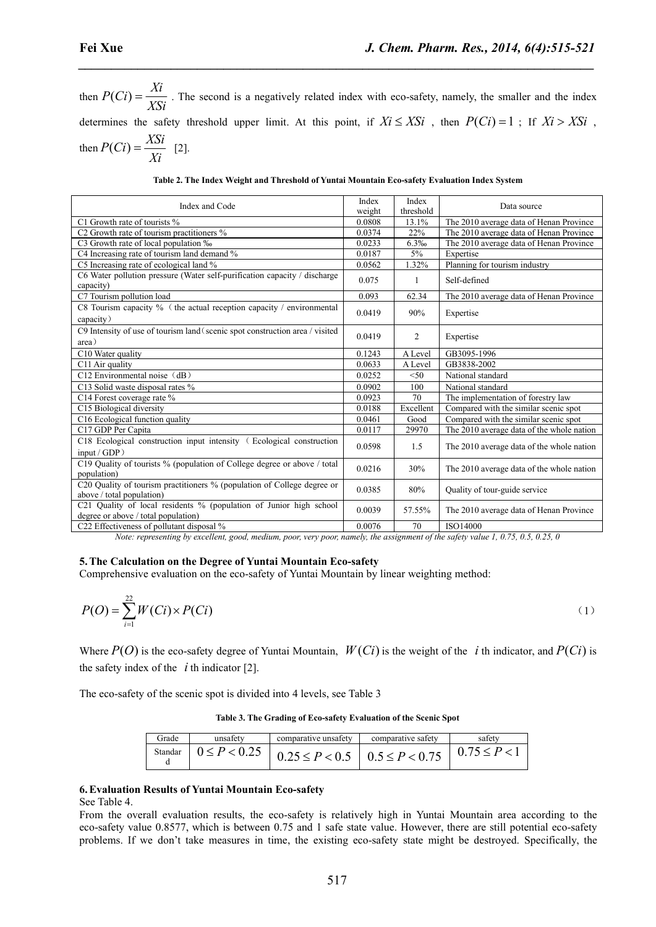**Fei Xue**<br> *J. Chem. Pharm. Res., 2014, 6(4):*<br>
then  $P(Ci) = \frac{Xi}{XSi}$ . The second is a negatively related index with eco-safety, namely, the smaller and<br>
determines the safety threshold upper limit. At this point, if  $Xi \$ then  $P(Ci) = \frac{Xi}{XSi}$ . The second is a negatively related index with eco-safety, namely, the smaller and the index **Fei Xue**<br>  $J.$  **Chem. Pharm. Res., 2014, 6(4):515-521**<br>
then  $P(Ci) = \frac{Xi}{XSi}$ . The second is a negatively related index with eco-safety, namely, the smaller and the index<br>
determines the safety threshold upper limit. At t

*\_\_\_\_\_\_\_\_\_\_\_\_\_\_\_\_\_\_\_\_\_\_\_\_\_\_\_\_\_\_\_\_\_\_\_\_\_\_\_\_\_\_\_\_\_\_\_\_\_\_\_\_\_\_\_\_\_\_\_\_\_\_\_\_\_\_\_\_\_\_\_\_\_\_\_\_\_\_*

then 
$$
P(Ci) = \frac{\Delta B}{Xi}
$$
 [2].

|                                                                                                                 | Index and Code   |                                                                  | Index            | Index              | Data source                                                                                                                      |     |
|-----------------------------------------------------------------------------------------------------------------|------------------|------------------------------------------------------------------|------------------|--------------------|----------------------------------------------------------------------------------------------------------------------------------|-----|
| C1 Growth rate of tourists %                                                                                    |                  |                                                                  | weight<br>0.0808 | threshold<br>13.1% | The 2010 average data of Henan Province                                                                                          |     |
| C2 Growth rate of tourism practitioners %                                                                       |                  |                                                                  | 0.0374           | 22%                | The 2010 average data of Henan Province                                                                                          |     |
| C3 Growth rate of local population ‰                                                                            |                  |                                                                  | 0.0233           | 6.3%               | The 2010 average data of Henan Province                                                                                          |     |
| C4 Increasing rate of tourism land demand %                                                                     |                  |                                                                  | 0.0187           | $5\%$              | Expertise                                                                                                                        |     |
| C5 Increasing rate of ecological land %                                                                         |                  |                                                                  | 0.0562           | 1.32%              | Planning for tourism industry                                                                                                    |     |
| C6 Water pollution pressure (Water self-purification capacity / discharge                                       |                  |                                                                  | 0.075            | -1                 | Self-defined                                                                                                                     |     |
| capacity)                                                                                                       |                  |                                                                  |                  |                    |                                                                                                                                  |     |
| C7 Tourism pollution load                                                                                       |                  |                                                                  | 0.093            | 62.34              | The 2010 average data of Henan Province                                                                                          |     |
| C8 Tourism capacity % (the actual reception capacity / environmental                                            |                  |                                                                  | 0.0419           | 90%                | Expertise                                                                                                                        |     |
| capacity)                                                                                                       |                  |                                                                  |                  |                    |                                                                                                                                  |     |
| C9 Intensity of use of tourism land (scenic spot construction area / visited                                    |                  |                                                                  | 0.0419           | 2                  | Expertise                                                                                                                        |     |
| area)                                                                                                           |                  |                                                                  |                  |                    |                                                                                                                                  |     |
| C10 Water quality                                                                                               |                  |                                                                  | 0.1243           | A Level            | GB3095-1996                                                                                                                      |     |
| C11 Air quality                                                                                                 |                  |                                                                  | 0.0633           | A Level            | GB3838-2002                                                                                                                      |     |
| C12 Environmental noise (dB)                                                                                    |                  |                                                                  | 0.0252           | $50$               | National standard                                                                                                                |     |
| C13 Solid waste disposal rates %                                                                                |                  |                                                                  | 0.0902           | 100                | National standard                                                                                                                |     |
| C14 Forest coverage rate %                                                                                      |                  |                                                                  | 0.0923           | 70                 | The implementation of forestry law                                                                                               |     |
| C15 Biological diversity                                                                                        |                  |                                                                  | 0.0188           | Excellent          | Compared with the similar scenic spot                                                                                            |     |
| C16 Ecological function quality                                                                                 |                  |                                                                  | 0.0461           | Good               | Compared with the similar scenic spot                                                                                            |     |
| C17 GDP Per Capita                                                                                              |                  |                                                                  | 0.0117           | 29970              | The 2010 average data of the whole nation                                                                                        |     |
| C18 Ecological construction input intensity (Ecological construction                                            |                  |                                                                  | 0.0598           | 1.5                | The 2010 average data of the whole nation                                                                                        |     |
| input / GDP)                                                                                                    |                  |                                                                  |                  |                    |                                                                                                                                  |     |
| C19 Quality of tourists % (population of College degree or above / total<br>population)                         |                  |                                                                  | 0.0216           | 30%                | The 2010 average data of the whole nation                                                                                        |     |
| C20 Quality of tourism practitioners % (population of College degree or                                         |                  |                                                                  | 0.0385           | 80%                | Quality of tour-guide service                                                                                                    |     |
| above / total population)                                                                                       |                  |                                                                  |                  |                    |                                                                                                                                  |     |
| C21 Quality of local residents % (population of Junior high school<br>degree or above / total population)       |                  |                                                                  | 0.0039           | 57.55%             | The 2010 average data of Henan Province                                                                                          |     |
| C22 Effectiveness of pollutant disposal %                                                                       |                  |                                                                  | 0.0076           | 70                 | ISO14000                                                                                                                         |     |
|                                                                                                                 |                  |                                                                  |                  |                    | Note: representing by excellent, good, medium, poor, very poor, namely, the assignment of the safety value 1, 0.75, 0.5, 0.25, 0 |     |
|                                                                                                                 |                  |                                                                  |                  |                    |                                                                                                                                  |     |
| 5. The Calculation on the Degree of Yuntai Mountain Eco-safety                                                  |                  |                                                                  |                  |                    |                                                                                                                                  |     |
|                                                                                                                 |                  |                                                                  |                  |                    |                                                                                                                                  |     |
| Comprehensive evaluation on the eco-safety of Yuntai Mountain by linear weighting method:                       |                  |                                                                  |                  |                    |                                                                                                                                  |     |
|                                                                                                                 |                  |                                                                  |                  |                    |                                                                                                                                  |     |
|                                                                                                                 |                  |                                                                  |                  |                    |                                                                                                                                  |     |
| $P(O) = \sum_{i=1}^{22} W(Ci) \times P(Ci)$                                                                     |                  |                                                                  |                  |                    |                                                                                                                                  | (1) |
|                                                                                                                 |                  |                                                                  |                  |                    |                                                                                                                                  |     |
|                                                                                                                 |                  |                                                                  |                  |                    |                                                                                                                                  |     |
|                                                                                                                 |                  |                                                                  |                  |                    | Where $P(O)$ is the eco-safety degree of Yuntai Mountain, $W(Ci)$ is the weight of the <i>i</i> th indicator, and $P(Ci)$ is     |     |
|                                                                                                                 |                  |                                                                  |                  |                    |                                                                                                                                  |     |
| the safety index of the $i$ th indicator [2].                                                                   |                  |                                                                  |                  |                    |                                                                                                                                  |     |
|                                                                                                                 |                  |                                                                  |                  |                    |                                                                                                                                  |     |
| The eco-safety of the scenic spot is divided into 4 levels, see Table 3                                         |                  |                                                                  |                  |                    |                                                                                                                                  |     |
|                                                                                                                 |                  |                                                                  |                  |                    |                                                                                                                                  |     |
|                                                                                                                 |                  | Table 3. The Grading of Eco-safety Evaluation of the Scenic Spot |                  |                    |                                                                                                                                  |     |
|                                                                                                                 |                  |                                                                  |                  |                    |                                                                                                                                  |     |
| Grade                                                                                                           | unsafety         | comparative unsafety                                             |                  | comparative safety | safety                                                                                                                           |     |
| Standar<br>d                                                                                                    | $0 \le P < 0.25$ | $0.25 \le P < 0.5$                                               |                  | $0.5 \le P < 0.75$ | $0.75 \le P < 1$                                                                                                                 |     |
|                                                                                                                 |                  |                                                                  |                  |                    |                                                                                                                                  |     |
|                                                                                                                 |                  |                                                                  |                  |                    |                                                                                                                                  |     |
| 6. Evaluation Results of Yuntai Mountain Eco-safety                                                             |                  |                                                                  |                  |                    |                                                                                                                                  |     |
| See Table 4.                                                                                                    |                  |                                                                  |                  |                    |                                                                                                                                  |     |
| From the overall evaluation results, the eco-safety is relatively high in Yuntai Mountain area according to the |                  |                                                                  |                  |                    |                                                                                                                                  |     |
|                                                                                                                 |                  |                                                                  |                  |                    |                                                                                                                                  |     |
|                                                                                                                 |                  |                                                                  |                  |                    | eco-safety value 0.8577, which is between 0.75 and 1 safe state value. However, there are still potential eco-safety             |     |

#### **5.The Calculation on the Degree of Yuntai Mountain Eco-safety**

$$
P(O) = \sum_{i=1}^{22} W(Ci) \times P(Ci)
$$
\n<sup>(1)</sup>

**Table 3. The Grading of Eco-safety Evaluation of the Scenic Spot**

| Grade   | unsafety         | comparative unsafety | comparative safety | safety |
|---------|------------------|----------------------|--------------------|--------|
| Standar | $0 \le P < 0.25$ |                      |                    |        |

#### **6.Evaluation Results ofYuntai Mountain Eco-safety**

From the overall evaluation results, the eco-safety is relatively high in Yuntai Mountain area according to the eco-safety value 0.8577, which is between 0.75 and 1 safe state value. However, there are still potential eco-safety problems. If we don't take measures in time, the existing eco-safety state might be destroyed. Specifically, the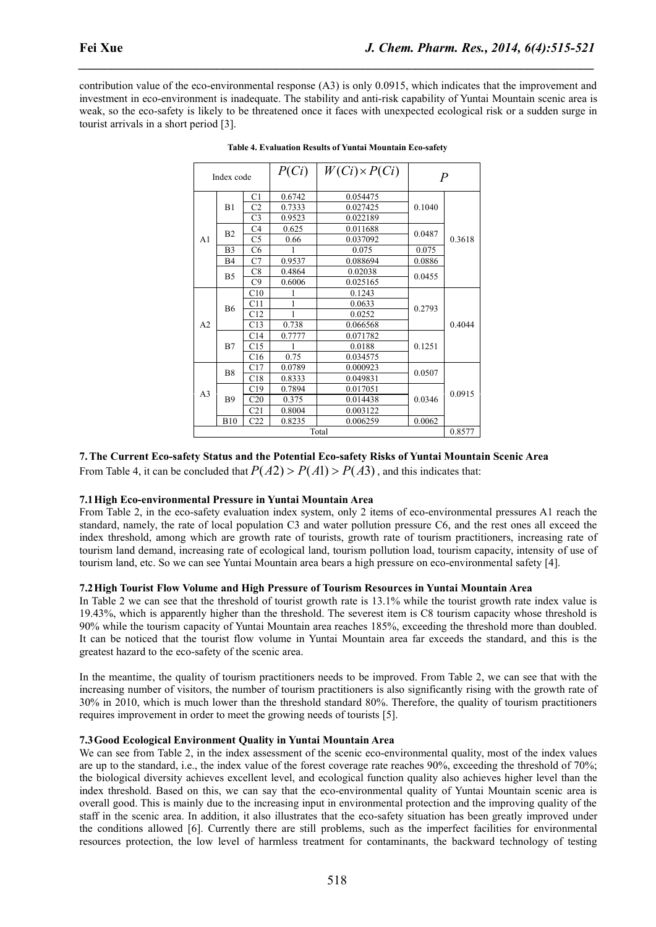| Fei Xue<br>J. Chem. Pharm. Res., 2014, 6(4):515-521<br>contribution value of the eco-environmental response (A3) is only 0.0915, which indicates that the improvement and<br>investment in eco-environment is inadequate. The stability and anti-risk capability of Yuntai Mountain scenic area is<br>weak, so the eco-safety is likely to be threatened once it faces with unexpected ecological risk or a sudden surge in<br>tourist arrivals in a short period [3].<br><b>Table 4. Evaluation Results of Yuntai Mountain Eco-safety</b><br>$P(C_i)$<br>$W(Ci) \times P(Ci)$<br>$\overline{P}$<br>Index code<br>0.6742<br>0.054475<br>C1<br>C <sub>2</sub><br>0.7333<br>0.027425<br>B1<br>0.1040<br>C <sub>3</sub><br>0.022189<br>0.9523<br>C4<br>0.625<br>0.011688<br>0.0487<br>B <sub>2</sub><br>C <sub>5</sub><br>0.3618<br>0.66<br>0.037092<br>A1<br>C6<br>0.075<br>0.075<br>B <sub>3</sub><br>0.9537<br>C7<br>0.088694<br>0.0886<br><b>B4</b><br>$\overline{C8}$<br>0.4864<br>0.02038<br>0.0455<br>B <sub>5</sub><br>C9<br>0.6006<br>0.025165<br>C10<br>0.1243<br>-1<br>-1<br>0.0633<br>C11<br>0.2793<br>B6<br>C12<br>$\mathbf{1}$<br>0.0252<br>C13<br>0.738<br>0.4044<br>A <sub>2</sub><br>0.066568<br>C14<br>0.7777<br>0.071782<br>B7<br>C15<br>0.0188<br>0.1251<br>-1<br>0.75<br>C16<br>0.034575<br>0.0789<br>C17<br>0.000923<br>B8<br>0.0507<br>C18<br>0.8333<br>0.049831<br>C19<br>0.7894<br>0.017051<br>0.0915<br>A <sub>3</sub><br>C20<br>0.375<br><b>B9</b><br>0.014438<br>0.0346<br>C <sub>21</sub><br>0.8004<br>0.003122<br>C22<br>0.8235<br>0.006259<br><b>B10</b><br>0.0062<br>0.8577<br>Total |  |  |  |  |
|-------------------------------------------------------------------------------------------------------------------------------------------------------------------------------------------------------------------------------------------------------------------------------------------------------------------------------------------------------------------------------------------------------------------------------------------------------------------------------------------------------------------------------------------------------------------------------------------------------------------------------------------------------------------------------------------------------------------------------------------------------------------------------------------------------------------------------------------------------------------------------------------------------------------------------------------------------------------------------------------------------------------------------------------------------------------------------------------------------------------------------------------------------------------------------------------------------------------------------------------------------------------------------------------------------------------------------------------------------------------------------------------------------------------------------------------------------------------------------------------------------------------------------------------------------------------------------------------------------------------|--|--|--|--|
|                                                                                                                                                                                                                                                                                                                                                                                                                                                                                                                                                                                                                                                                                                                                                                                                                                                                                                                                                                                                                                                                                                                                                                                                                                                                                                                                                                                                                                                                                                                                                                                                                   |  |  |  |  |
|                                                                                                                                                                                                                                                                                                                                                                                                                                                                                                                                                                                                                                                                                                                                                                                                                                                                                                                                                                                                                                                                                                                                                                                                                                                                                                                                                                                                                                                                                                                                                                                                                   |  |  |  |  |
|                                                                                                                                                                                                                                                                                                                                                                                                                                                                                                                                                                                                                                                                                                                                                                                                                                                                                                                                                                                                                                                                                                                                                                                                                                                                                                                                                                                                                                                                                                                                                                                                                   |  |  |  |  |
|                                                                                                                                                                                                                                                                                                                                                                                                                                                                                                                                                                                                                                                                                                                                                                                                                                                                                                                                                                                                                                                                                                                                                                                                                                                                                                                                                                                                                                                                                                                                                                                                                   |  |  |  |  |
|                                                                                                                                                                                                                                                                                                                                                                                                                                                                                                                                                                                                                                                                                                                                                                                                                                                                                                                                                                                                                                                                                                                                                                                                                                                                                                                                                                                                                                                                                                                                                                                                                   |  |  |  |  |
|                                                                                                                                                                                                                                                                                                                                                                                                                                                                                                                                                                                                                                                                                                                                                                                                                                                                                                                                                                                                                                                                                                                                                                                                                                                                                                                                                                                                                                                                                                                                                                                                                   |  |  |  |  |
|                                                                                                                                                                                                                                                                                                                                                                                                                                                                                                                                                                                                                                                                                                                                                                                                                                                                                                                                                                                                                                                                                                                                                                                                                                                                                                                                                                                                                                                                                                                                                                                                                   |  |  |  |  |
|                                                                                                                                                                                                                                                                                                                                                                                                                                                                                                                                                                                                                                                                                                                                                                                                                                                                                                                                                                                                                                                                                                                                                                                                                                                                                                                                                                                                                                                                                                                                                                                                                   |  |  |  |  |
|                                                                                                                                                                                                                                                                                                                                                                                                                                                                                                                                                                                                                                                                                                                                                                                                                                                                                                                                                                                                                                                                                                                                                                                                                                                                                                                                                                                                                                                                                                                                                                                                                   |  |  |  |  |
|                                                                                                                                                                                                                                                                                                                                                                                                                                                                                                                                                                                                                                                                                                                                                                                                                                                                                                                                                                                                                                                                                                                                                                                                                                                                                                                                                                                                                                                                                                                                                                                                                   |  |  |  |  |
|                                                                                                                                                                                                                                                                                                                                                                                                                                                                                                                                                                                                                                                                                                                                                                                                                                                                                                                                                                                                                                                                                                                                                                                                                                                                                                                                                                                                                                                                                                                                                                                                                   |  |  |  |  |
|                                                                                                                                                                                                                                                                                                                                                                                                                                                                                                                                                                                                                                                                                                                                                                                                                                                                                                                                                                                                                                                                                                                                                                                                                                                                                                                                                                                                                                                                                                                                                                                                                   |  |  |  |  |
|                                                                                                                                                                                                                                                                                                                                                                                                                                                                                                                                                                                                                                                                                                                                                                                                                                                                                                                                                                                                                                                                                                                                                                                                                                                                                                                                                                                                                                                                                                                                                                                                                   |  |  |  |  |
|                                                                                                                                                                                                                                                                                                                                                                                                                                                                                                                                                                                                                                                                                                                                                                                                                                                                                                                                                                                                                                                                                                                                                                                                                                                                                                                                                                                                                                                                                                                                                                                                                   |  |  |  |  |
|                                                                                                                                                                                                                                                                                                                                                                                                                                                                                                                                                                                                                                                                                                                                                                                                                                                                                                                                                                                                                                                                                                                                                                                                                                                                                                                                                                                                                                                                                                                                                                                                                   |  |  |  |  |
|                                                                                                                                                                                                                                                                                                                                                                                                                                                                                                                                                                                                                                                                                                                                                                                                                                                                                                                                                                                                                                                                                                                                                                                                                                                                                                                                                                                                                                                                                                                                                                                                                   |  |  |  |  |
|                                                                                                                                                                                                                                                                                                                                                                                                                                                                                                                                                                                                                                                                                                                                                                                                                                                                                                                                                                                                                                                                                                                                                                                                                                                                                                                                                                                                                                                                                                                                                                                                                   |  |  |  |  |
|                                                                                                                                                                                                                                                                                                                                                                                                                                                                                                                                                                                                                                                                                                                                                                                                                                                                                                                                                                                                                                                                                                                                                                                                                                                                                                                                                                                                                                                                                                                                                                                                                   |  |  |  |  |
|                                                                                                                                                                                                                                                                                                                                                                                                                                                                                                                                                                                                                                                                                                                                                                                                                                                                                                                                                                                                                                                                                                                                                                                                                                                                                                                                                                                                                                                                                                                                                                                                                   |  |  |  |  |
|                                                                                                                                                                                                                                                                                                                                                                                                                                                                                                                                                                                                                                                                                                                                                                                                                                                                                                                                                                                                                                                                                                                                                                                                                                                                                                                                                                                                                                                                                                                                                                                                                   |  |  |  |  |
|                                                                                                                                                                                                                                                                                                                                                                                                                                                                                                                                                                                                                                                                                                                                                                                                                                                                                                                                                                                                                                                                                                                                                                                                                                                                                                                                                                                                                                                                                                                                                                                                                   |  |  |  |  |
|                                                                                                                                                                                                                                                                                                                                                                                                                                                                                                                                                                                                                                                                                                                                                                                                                                                                                                                                                                                                                                                                                                                                                                                                                                                                                                                                                                                                                                                                                                                                                                                                                   |  |  |  |  |
|                                                                                                                                                                                                                                                                                                                                                                                                                                                                                                                                                                                                                                                                                                                                                                                                                                                                                                                                                                                                                                                                                                                                                                                                                                                                                                                                                                                                                                                                                                                                                                                                                   |  |  |  |  |
|                                                                                                                                                                                                                                                                                                                                                                                                                                                                                                                                                                                                                                                                                                                                                                                                                                                                                                                                                                                                                                                                                                                                                                                                                                                                                                                                                                                                                                                                                                                                                                                                                   |  |  |  |  |
|                                                                                                                                                                                                                                                                                                                                                                                                                                                                                                                                                                                                                                                                                                                                                                                                                                                                                                                                                                                                                                                                                                                                                                                                                                                                                                                                                                                                                                                                                                                                                                                                                   |  |  |  |  |
|                                                                                                                                                                                                                                                                                                                                                                                                                                                                                                                                                                                                                                                                                                                                                                                                                                                                                                                                                                                                                                                                                                                                                                                                                                                                                                                                                                                                                                                                                                                                                                                                                   |  |  |  |  |
|                                                                                                                                                                                                                                                                                                                                                                                                                                                                                                                                                                                                                                                                                                                                                                                                                                                                                                                                                                                                                                                                                                                                                                                                                                                                                                                                                                                                                                                                                                                                                                                                                   |  |  |  |  |
|                                                                                                                                                                                                                                                                                                                                                                                                                                                                                                                                                                                                                                                                                                                                                                                                                                                                                                                                                                                                                                                                                                                                                                                                                                                                                                                                                                                                                                                                                                                                                                                                                   |  |  |  |  |
|                                                                                                                                                                                                                                                                                                                                                                                                                                                                                                                                                                                                                                                                                                                                                                                                                                                                                                                                                                                                                                                                                                                                                                                                                                                                                                                                                                                                                                                                                                                                                                                                                   |  |  |  |  |
|                                                                                                                                                                                                                                                                                                                                                                                                                                                                                                                                                                                                                                                                                                                                                                                                                                                                                                                                                                                                                                                                                                                                                                                                                                                                                                                                                                                                                                                                                                                                                                                                                   |  |  |  |  |
|                                                                                                                                                                                                                                                                                                                                                                                                                                                                                                                                                                                                                                                                                                                                                                                                                                                                                                                                                                                                                                                                                                                                                                                                                                                                                                                                                                                                                                                                                                                                                                                                                   |  |  |  |  |
|                                                                                                                                                                                                                                                                                                                                                                                                                                                                                                                                                                                                                                                                                                                                                                                                                                                                                                                                                                                                                                                                                                                                                                                                                                                                                                                                                                                                                                                                                                                                                                                                                   |  |  |  |  |
|                                                                                                                                                                                                                                                                                                                                                                                                                                                                                                                                                                                                                                                                                                                                                                                                                                                                                                                                                                                                                                                                                                                                                                                                                                                                                                                                                                                                                                                                                                                                                                                                                   |  |  |  |  |
|                                                                                                                                                                                                                                                                                                                                                                                                                                                                                                                                                                                                                                                                                                                                                                                                                                                                                                                                                                                                                                                                                                                                                                                                                                                                                                                                                                                                                                                                                                                                                                                                                   |  |  |  |  |
|                                                                                                                                                                                                                                                                                                                                                                                                                                                                                                                                                                                                                                                                                                                                                                                                                                                                                                                                                                                                                                                                                                                                                                                                                                                                                                                                                                                                                                                                                                                                                                                                                   |  |  |  |  |
|                                                                                                                                                                                                                                                                                                                                                                                                                                                                                                                                                                                                                                                                                                                                                                                                                                                                                                                                                                                                                                                                                                                                                                                                                                                                                                                                                                                                                                                                                                                                                                                                                   |  |  |  |  |
|                                                                                                                                                                                                                                                                                                                                                                                                                                                                                                                                                                                                                                                                                                                                                                                                                                                                                                                                                                                                                                                                                                                                                                                                                                                                                                                                                                                                                                                                                                                                                                                                                   |  |  |  |  |
|                                                                                                                                                                                                                                                                                                                                                                                                                                                                                                                                                                                                                                                                                                                                                                                                                                                                                                                                                                                                                                                                                                                                                                                                                                                                                                                                                                                                                                                                                                                                                                                                                   |  |  |  |  |
|                                                                                                                                                                                                                                                                                                                                                                                                                                                                                                                                                                                                                                                                                                                                                                                                                                                                                                                                                                                                                                                                                                                                                                                                                                                                                                                                                                                                                                                                                                                                                                                                                   |  |  |  |  |
| 7. The Current Eco-safety Status and the Potential Eco-safety Risks of Yuntai Mountain Scenic Area                                                                                                                                                                                                                                                                                                                                                                                                                                                                                                                                                                                                                                                                                                                                                                                                                                                                                                                                                                                                                                                                                                                                                                                                                                                                                                                                                                                                                                                                                                                |  |  |  |  |
| From Table 4, it can be concluded that $P(A2) > P(A1) > P(A3)$ , and this indicates that:                                                                                                                                                                                                                                                                                                                                                                                                                                                                                                                                                                                                                                                                                                                                                                                                                                                                                                                                                                                                                                                                                                                                                                                                                                                                                                                                                                                                                                                                                                                         |  |  |  |  |
|                                                                                                                                                                                                                                                                                                                                                                                                                                                                                                                                                                                                                                                                                                                                                                                                                                                                                                                                                                                                                                                                                                                                                                                                                                                                                                                                                                                                                                                                                                                                                                                                                   |  |  |  |  |
|                                                                                                                                                                                                                                                                                                                                                                                                                                                                                                                                                                                                                                                                                                                                                                                                                                                                                                                                                                                                                                                                                                                                                                                                                                                                                                                                                                                                                                                                                                                                                                                                                   |  |  |  |  |
|                                                                                                                                                                                                                                                                                                                                                                                                                                                                                                                                                                                                                                                                                                                                                                                                                                                                                                                                                                                                                                                                                                                                                                                                                                                                                                                                                                                                                                                                                                                                                                                                                   |  |  |  |  |
|                                                                                                                                                                                                                                                                                                                                                                                                                                                                                                                                                                                                                                                                                                                                                                                                                                                                                                                                                                                                                                                                                                                                                                                                                                                                                                                                                                                                                                                                                                                                                                                                                   |  |  |  |  |
| 7.1 High Eco-environmental Pressure in Yuntai Mountain Area<br>From Table 2, in the eco-safety evaluation index system, only 2 items of eco-environmental pressures A1 reach the<br>standard, namely, the rate of local population C3 and water pollution pressure C6, and the rest ones all exceed the                                                                                                                                                                                                                                                                                                                                                                                                                                                                                                                                                                                                                                                                                                                                                                                                                                                                                                                                                                                                                                                                                                                                                                                                                                                                                                           |  |  |  |  |
| index threshold, among which are growth rate of tourists, growth rate of tourism practitioners, increasing rate of<br>tourism land demand, increasing rate of ecological land, tourism pollution load, tourism capacity, intensity of use of                                                                                                                                                                                                                                                                                                                                                                                                                                                                                                                                                                                                                                                                                                                                                                                                                                                                                                                                                                                                                                                                                                                                                                                                                                                                                                                                                                      |  |  |  |  |

**Table 4. Evaluation Results ofYuntai Mountain Eco-safety**

### **7.1High Eco-environmental Pressure in Yuntai Mountain Area**

From Table 2, in the eco-safety evaluation index system, only 2 items of eco-environmental pressures A1 reach the standard, namely, the rate of local population C3 and water pollution pressure C6, and the rest ones all exceed the index threshold, among which are growth rate of tourists, growth rate of tourism practitioners, increasing rate of tourism land demand, increasing rate of ecological land, tourism pollution load, tourism capacity, intensity of use of tourism land, etc. Sowe can see Yuntai Mountain area bears a high pressure on eco-environmental safety [4].

# **7.2High Tourist Flow Volume and High Pressure of Tourism Resources in Yuntai Mountain Area**

In Table 2 we can see that the threshold of tourist growth rate is 13.1% while the tourist growth rate index value is 19.43%, which is apparently higher than the threshold. The severest item is C8 tourism capacity whose threshold is 90% while the tourism capacity of Yuntai Mountain area reaches 185%, exceeding the threshold more than doubled. It can be noticed that the tourist flow volume in Yuntai Mountain area far exceeds the standard, and this is the greatest hazard to the eco-safety of the scenic area.

In the meantime, the quality of tourism practitioners needs to be improved. From Table 2, we can see that with the increasing number of visitors, the number of tourism practitioners is also significantly rising with the growth rate of 30% in 2010, which is much lower than the threshold standard 80%. Therefore, the quality of tourism practitioners requires improvement in order to meet the growing needs of tourists [5].

#### **7.3 Good Ecological Environment Quality in Yuntai Mountain Area**

We can see from Table 2, in the index assessment of the scenic eco-environmental quality, most of the index values are up to the standard, i.e., the index value of the forest coverage rate reaches 90%, exceeding the threshold of 70%; the biological diversity achieves excellent level, and ecological function quality also achieves higher level than the index threshold. Based on this, we can say that the eco-environmental quality of Yuntai Mountain scenic area is overall good. This is mainly due to the increasing input in environmental protection and the improving quality of the staff in the scenic area. In addition, it also illustrates that the eco-safety situation has been greatly improved under the conditions allowed [6]. Currently there are still problems, such as the imperfect facilities for environmental resources protection, the low level of harmless treatment for contaminants, the backward technology of testing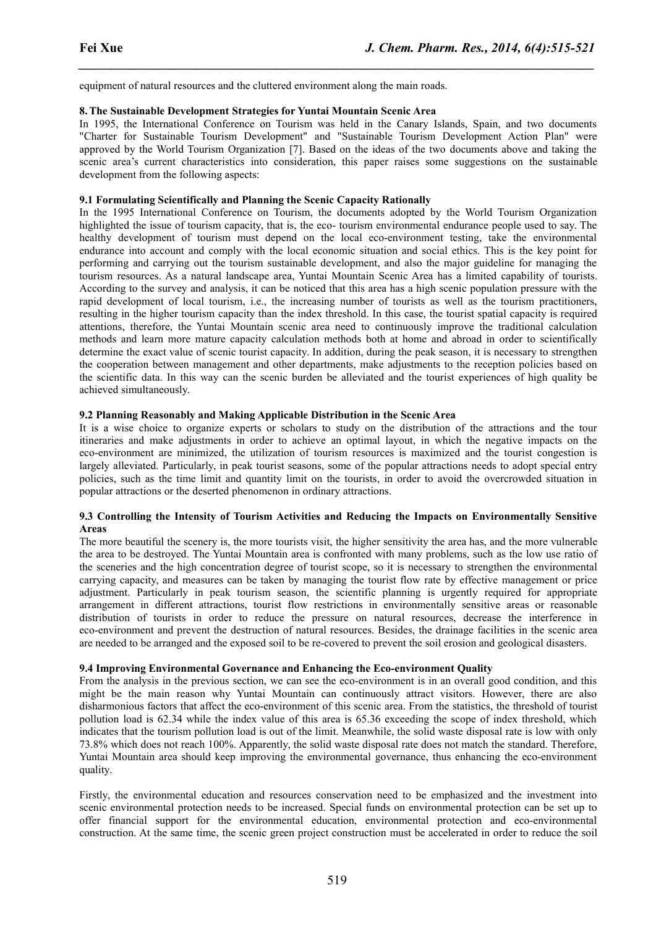equipment of natural resources and the cluttered environment along the main roads.

#### **8.The Sustainable Development Strategies for Yuntai Mountain Scenic Area**

In 1995, the International Conference on Tourism was held in the Canary Islands, Spain, and two documents "Charter for Sustainable Tourism Development" and "Sustainable Tourism Development Action Plan" were approved by the World Tourism Organization [7]. Based on the ideas of the two documents above and taking the scenic area's current characteristics into consideration, this paper raises some suggestions on the sustainable development from the following aspects:

*\_\_\_\_\_\_\_\_\_\_\_\_\_\_\_\_\_\_\_\_\_\_\_\_\_\_\_\_\_\_\_\_\_\_\_\_\_\_\_\_\_\_\_\_\_\_\_\_\_\_\_\_\_\_\_\_\_\_\_\_\_\_\_\_\_\_\_\_\_\_\_\_\_\_\_\_\_\_*

## **9.1 Formulating Scientifically and Planning the Scenic Capacity Rationally**

In the 1995 International Conference on Tourism, the documents adopted by the World Tourism Organization highlighted the issue of tourism capacity, that is, the eco-tourism environmental endurance people used to say. The healthy development of tourism must depend on the local eco-environment testing, take the environmental endurance into account and comply with the local economic situation and social ethics. This is the key point for performing and carrying out the tourism sustainable development, and also the major guideline for managing the tourism resources. As a naturallandscape area, Yuntai Mountain Scenic Area has a limited capability of tourists. According to the survey and analysis, it can be noticed that this area has a high scenic population pressure with the rapid development of local tourism, i.e., the increasing number of tourists as well as the tourism practitioners, resulting in the higher tourism capacity than the index threshold. In this case, the tourist spatial capacity is required attentions, therefore, the Yuntai Mountain scenic area need to continuously improve the traditional calculation methods and learn more mature capacity calculation methods both at home and abroad in order to scientifically determine the exact value of scenic tourist capacity. In addition, during the peak season, it is necessary to strengthen the cooperation between management and other departments, make adjustments to the reception policies based on the scientific data. In this way can the scenic burden be alleviated and the tourist experiences of high quality be achieved simultaneously.

## **9.2 Planning Reasonably and Making Applicable Distribution in the Scenic Area**

It is a wise choice to organize experts or scholars to study on the distribution of the attractions and the tour itineraries and make adjustments in order to achieve an optimal layout, in which the negative impacts on the eco-environment are minimized, the utilization of tourism resources is maximized and the tourist congestion is largely alleviated. Particularly, in peak tourist seasons, some of the popular attractions needs to adopt special entry policies, such as the time limit and quantity limit on the tourists,in order to avoid the overcrowded situation in popular attractions or the deserted phenomenon in ordinary attractions.

#### **9.3 Controlling the Intensity of Tourism Activities and Reducing the Impacts on Environmentally Sensitive Areas**

The more beautiful the scenery is, the more tourists visit, the higher sensitivity the area has, and the more vulnerable the area to be destroyed. The Yuntai Mountain area is confronted with many problems, such as the low use ratio of the sceneries and the high concentration degree of tourist scope, so it is necessary to strengthen the environmental carrying capacity, and measures can be taken by managing the tourist flow rate by effective management or price adjustment. Particularly in peak tourism season, the scientific planning is urgently required for appropriate arrangement in different attractions, tourist flow restrictions in environmentally sensitive areas or reasonable distribution of tourists in order to reduce the pressure on natural resources, decrease the interference in eco-environment and prevent the destruction of natural resources. Besides, the drainage facilities in the scenic area are needed to be arranged and the exposed soil to be re-covered to prevent the soil erosion and geological disasters.

# **9.4 Improving Environmental Governance and Enhancing the Eco-environment Quality**

From the analysis in the previous section, we can see the eco-environment is in an overall good condition, and this might be the main reason why Yuntai Mountain can continuously attract visitors. However, there are also disharmonious factors that affect the eco-environment of this scenic area. From the statistics, the threshold of tourist pollution load is 62.34 while the index value of this area is 65.36 exceeding the scope of index threshold, which indicates that the tourism pollution load is out of the limit. Meanwhile, the solid waste disposal rate is low with only 73.8% which does not reach 100%. Apparently, the solid waste disposal rate does not match the standard. Therefore, Yuntai Mountain area should keep improving the environmental governance, thus enhancing the eco-environment quality.

Firstly, the environmental education and resources conservation need to be emphasized and the investment into scenic environmental protection needs to be increased. Special funds on environmental protection can be set up to offer financial support for the environmental education, environmental protection and eco-environmental construction. At the same time, the scenic green project construction must be accelerated in order to reduce the soil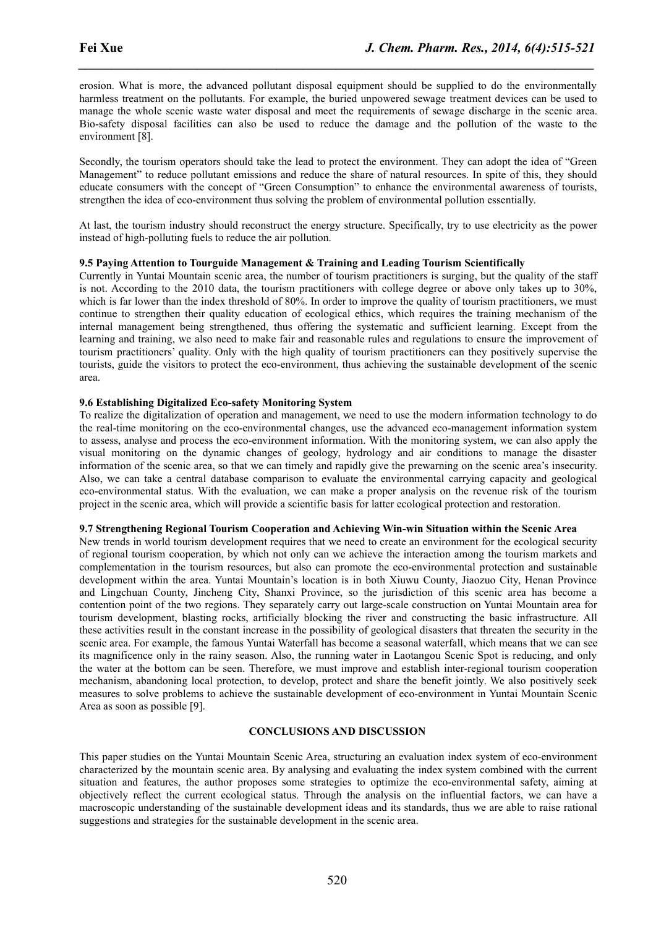erosion. What is more, the advanced pollutant disposal equipment should be supplied to do the environmentally harmless treatment on the pollutants. For example, the buried unpowered sewage treatment devices can be used to manage the whole scenic waste water disposal and meet the requirements of sewage discharge in the scenic area. Bio-safety disposal facilities can also be used to reduce the damage and the pollution of the waste to the environment [8].

*\_\_\_\_\_\_\_\_\_\_\_\_\_\_\_\_\_\_\_\_\_\_\_\_\_\_\_\_\_\_\_\_\_\_\_\_\_\_\_\_\_\_\_\_\_\_\_\_\_\_\_\_\_\_\_\_\_\_\_\_\_\_\_\_\_\_\_\_\_\_\_\_\_\_\_\_\_\_*

Secondly, the tourism operators should take the lead to protect the environment. They can adopt the idea of "Green" Management" to reduce pollutant emissions and reduce the share of natural resources. In spite of this, they should educate consumers with the concept of "Green Consumption" to enhance the environmental awareness of tourists, strengthen the idea of eco-environment thus solving the problem of environmental pollution essentially.

At last, the tourism industry should reconstruct the energy structure. Specifically, try to use electricity as the power instead of high-polluting fuels to reduce the air pollution.

# **9.5 Paying Attention toTourguide Management & Training and Leading Tourism Scientifically**

Currently in Yuntai Mountain scenic area, the number of tourism practitioners is surging, but the quality of the staff is not. According to the 2010 data, the tourism practitioners with college degree or above only takes up to 30%, which is far lower than the index threshold of 80%. In order to improve the quality of tourism practitioners, we must continue to strengthen their quality education of ecological ethics, which requires the training mechanism of the internal management being strengthened, thus offering the systematic and sufficient learning. Except from the learning and training, we also need to make fair and reasonable rules and regulations to ensure the improvement of tourism practitioners' quality. Only with the high quality of tourism practitioners can they positively supervise the tourists, guide the visitors to protect the eco-environment, thus achieving the sustainable development of the scenic area.

# **9.6 Establishing Digitalized Eco-safety Monitoring System**

To realize the digitalization of operation and management, we need to use the modern information technology to do the real-time monitoring on the eco-environmental changes, use the advanced eco-management information system to assess, analyse and process the eco-environment information. With the monitoring system, we can also apply the visual monitoring on the dynamic changes of geology, hydrology and air conditions to manage the disaster information of the scenic area, so that we can timely and rapidly give the prewarning on the scenic area's insecurity. Also, we can take a central database comparison to evaluate the environmental carrying capacity and geological eco-environmental status. With the evaluation, we can make a proper analysis on the revenue risk of the tourism project in the scenic area, which will provide a scientific basis for latter ecological protection and restoration.

## **9.7 Strengthening Regional Tourism Cooperation and Achieving Win-win Situation within the Scenic Area**

New trends in world tourism development requires that we need to create an environment for the ecological security of regional tourism cooperation, by which not only can we achieve the interaction among the tourism markets and complementation in the tourism resources, but also can promote the eco-environmental protection and sustainable development within the area. Yuntai Mountain's location is in both Xiuwu County, Jiaozuo City, Henan Province and Lingchuan County, Jincheng City, Shanxi Province, so the jurisdiction of this scenic area has become a contention point of the two regions. They separately carry out large-scale construction on Yuntai Mountain area for tourism development, blasting rocks, artificially blocking the river and constructing the basic infrastructure. All these activities result in the constant increase in the possibility of geological disasters that threaten the security in the scenic area. For example, the famous Yuntai Waterfall has become a seasonal waterfall, which means that we can see its magnificence only in the rainy season. Also, the running water in Laotangou Scenic Spot is reducing, and only the water at the bottom can be seen. Therefore, we must improve and establish inter-regional tourism cooperation mechanism, abandoning local protection, to develop, protect and share the benefit jointly. We also positively seek measures to solve problems to achieve the sustainable development of eco-environment in Yuntai Mountain Scenic Area as soon as possible [9].

## **CONCLUSIONS AND DISCUSSION**

This paper studies on the Yuntai Mountain Scenic Area, structuring an evaluation index system of eco-environment characterized by the mountain scenic area. By analysing and evaluating the index system combined with the current situation and features, the author proposes some strategies to optimize the eco-environmental safety, aiming at objectively reflect the current ecological status. Through the analysis on the influential factors, we can have a macroscopic understanding of the sustainable development ideas and its standards, thus we are able to raise rational suggestions and strategies for the sustainable development in the scenic area.